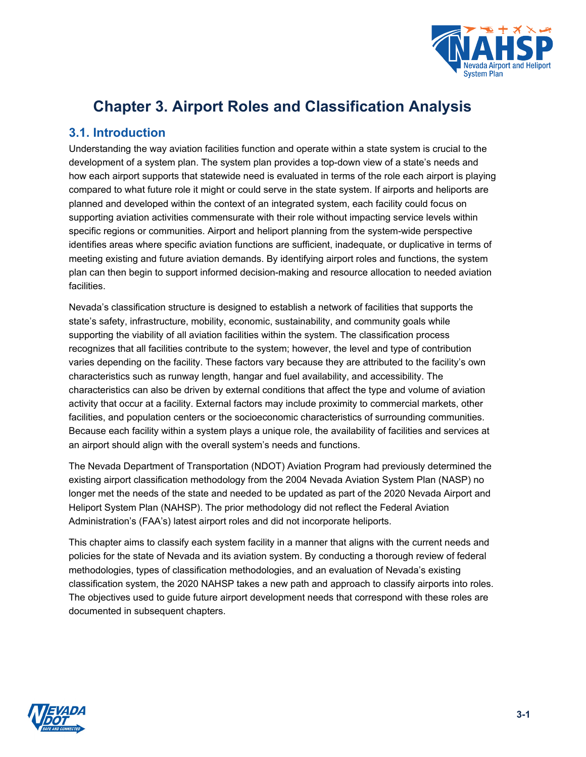

# **Chapter 3. Airport Roles and Classification Analysis**

### **3.1. Introduction**

Understanding the way aviation facilities function and operate within a state system is crucial to the development of a system plan. The system plan provides a top-down view of a state's needs and how each airport supports that statewide need is evaluated in terms of the role each airport is playing compared to what future role it might or could serve in the state system. If airports and heliports are planned and developed within the context of an integrated system, each facility could focus on supporting aviation activities commensurate with their role without impacting service levels within specific regions or communities. Airport and heliport planning from the system-wide perspective identifies areas where specific aviation functions are sufficient, inadequate, or duplicative in terms of meeting existing and future aviation demands. By identifying airport roles and functions, the system plan can then begin to support informed decision-making and resource allocation to needed aviation facilities.

Nevada's classification structure is designed to establish a network of facilities that supports the state's safety, infrastructure, mobility, economic, sustainability, and community goals while supporting the viability of all aviation facilities within the system. The classification process recognizes that all facilities contribute to the system; however, the level and type of contribution varies depending on the facility. These factors vary because they are attributed to the facility's own characteristics such as runway length, hangar and fuel availability, and accessibility. The characteristics can also be driven by external conditions that affect the type and volume of aviation activity that occur at a facility. External factors may include proximity to commercial markets, other facilities, and population centers or the socioeconomic characteristics of surrounding communities. Because each facility within a system plays a unique role, the availability of facilities and services at an airport should align with the overall system's needs and functions.

The Nevada Department of Transportation (NDOT) Aviation Program had previously determined the existing airport classification methodology from the 2004 Nevada Aviation System Plan (NASP) no longer met the needs of the state and needed to be updated as part of the 2020 Nevada Airport and Heliport System Plan (NAHSP). The prior methodology did not reflect the Federal Aviation Administration's (FAA's) latest airport roles and did not incorporate heliports.

This chapter aims to classify each system facility in a manner that aligns with the current needs and policies for the state of Nevada and its aviation system. By conducting a thorough review of federal methodologies, types of classification methodologies, and an evaluation of Nevada's existing classification system, the 2020 NAHSP takes a new path and approach to classify airports into roles. The objectives used to guide future airport development needs that correspond with these roles are documented in subsequent chapters.

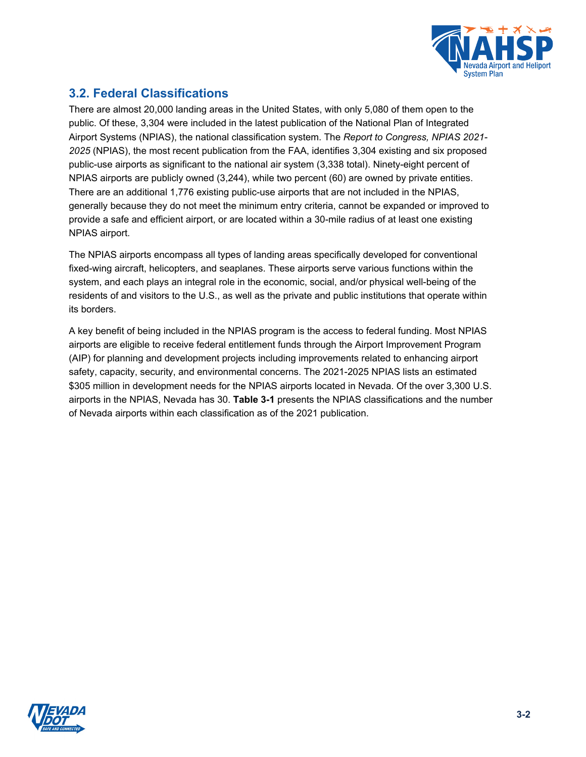

# <span id="page-1-1"></span>**3.2. Federal Classifications**

There are almost 20,000 landing areas in the United States, with only 5,080 of them open to the public. Of these, 3,304 were included in the latest publication of the National Plan of Integrated Airport Systems (NPIAS), the national classification system. The *Report to Congress, NPIAS 2021- 2025* (NPIAS), the most recent publication from the FAA, identifies 3,304 existing and six proposed public-use airports as significant to the national air system (3,338 total). Ninety-eight percent of NPIAS airports are publicly owned (3,244), while two percent (60) are owned by private entities. There are an additional 1,776 existing public-use airports that are not included in the NPIAS, generally because they do not meet the minimum entry criteria, cannot be expanded or improved to provide a safe and efficient airport, or are located within a 30-mile radius of at least one existing NPIAS airport.

The NPIAS airports encompass all types of landing areas specifically developed for conventional fixed-wing aircraft, helicopters, and seaplanes. These airports serve various functions within the system, and each plays an integral role in the economic, social, and/or physical well-being of the residents of and visitors to the U.S., as well as the private and public institutions that operate within its borders.

<span id="page-1-0"></span>A key benefit of being included in the NPIAS program is the access to federal funding. Most NPIAS airports are eligible to receive federal entitlement funds through the Airport Improvement Program (AIP) for planning and development projects including improvements related to enhancing airport safety, capacity, security, and environmental concerns. The 2021-2025 NPIAS lists an estimated \$305 million in development needs for the NPIAS airports located in Nevada. Of the over 3,300 U.S. airports in the NPIAS, Nevada has 30. **[Table](#page-1-0) 3-1** presents the NPIAS classifications and the number of Nevada airports within each classification as of the 2021 publication.

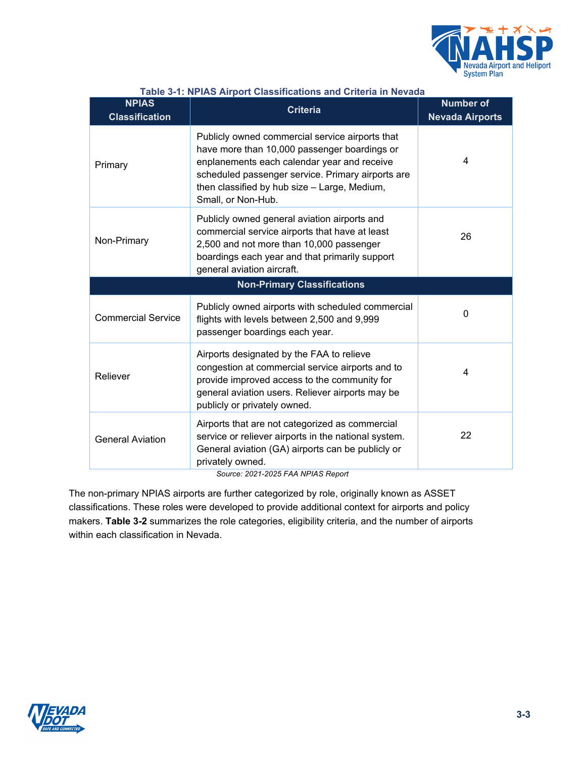

| <b>NPIAS</b><br><b>Classification</b> | <b>TADIO OF IT IN THE HILD OF LOGISMICATIONS AND ONLY THE HIS PAGAG</b><br><b>Criteria</b>                                                                                                                                                                                | <b>Number of</b><br><b>Nevada Airports</b> |
|---------------------------------------|---------------------------------------------------------------------------------------------------------------------------------------------------------------------------------------------------------------------------------------------------------------------------|--------------------------------------------|
| Primary                               | Publicly owned commercial service airports that<br>have more than 10,000 passenger boardings or<br>enplanements each calendar year and receive<br>scheduled passenger service. Primary airports are<br>then classified by hub size - Large, Medium,<br>Small, or Non-Hub. | 4                                          |
| Non-Primary                           | Publicly owned general aviation airports and<br>commercial service airports that have at least<br>2,500 and not more than 10,000 passenger<br>boardings each year and that primarily support<br>general aviation aircraft.                                                | 26                                         |
|                                       | <b>Non-Primary Classifications</b>                                                                                                                                                                                                                                        |                                            |
| <b>Commercial Service</b>             | Publicly owned airports with scheduled commercial<br>flights with levels between 2,500 and 9,999<br>passenger boardings each year.                                                                                                                                        | 0                                          |
| Reliever                              | Airports designated by the FAA to relieve<br>congestion at commercial service airports and to<br>provide improved access to the community for<br>general aviation users. Reliever airports may be<br>publicly or privately owned.                                         | 4                                          |
| <b>General Aviation</b>               | Airports that are not categorized as commercial<br>service or reliever airports in the national system.<br>General aviation (GA) airports can be publicly or<br>privately owned.                                                                                          | 22                                         |

#### **Table 3-1: NPIAS Airport Classifications and Criteria in Nevada**

*Source: 2021-2025 FAA NPIAS Report*

<span id="page-2-0"></span>The non-primary NPIAS airports are further categorized by role, originally known as ASSET classifications. These roles were developed to provide additional context for airports and policy makers. **[Table](#page-2-0) 3-2** summarizes the role categories, eligibility criteria, and the number of airports within each classification in Nevada.

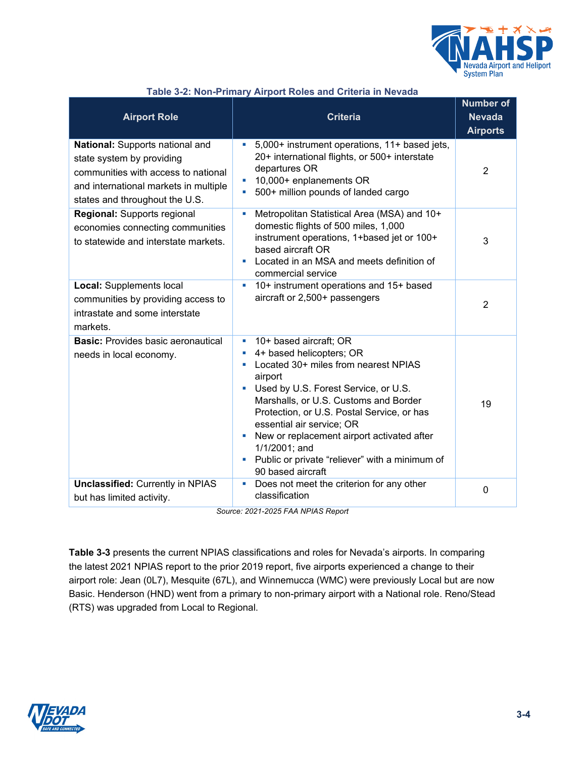

| <b>Airport Role</b>                                                                                                                                                            | <b>Criteria</b>                                                                                                                                                                                                                                                                                                                                                                                                  | <b>Number of</b><br><b>Nevada</b><br><b>Airports</b> |
|--------------------------------------------------------------------------------------------------------------------------------------------------------------------------------|------------------------------------------------------------------------------------------------------------------------------------------------------------------------------------------------------------------------------------------------------------------------------------------------------------------------------------------------------------------------------------------------------------------|------------------------------------------------------|
| National: Supports national and<br>state system by providing<br>communities with access to national<br>and international markets in multiple<br>states and throughout the U.S. | 5,000+ instrument operations, 11+ based jets,<br>$\blacksquare$<br>20+ international flights, or 500+ interstate<br>departures OR<br>10,000+ enplanements OR<br>500+ million pounds of landed cargo<br>$\blacksquare$                                                                                                                                                                                            | 2                                                    |
| <b>Regional:</b> Supports regional<br>economies connecting communities<br>to statewide and interstate markets.                                                                 | Metropolitan Statistical Area (MSA) and 10+<br><b>C</b><br>domestic flights of 500 miles, 1,000<br>instrument operations, 1+based jet or 100+<br>based aircraft OR<br>Located in an MSA and meets definition of<br>u,<br>commercial service                                                                                                                                                                      | 3                                                    |
| <b>Local: Supplements local</b><br>communities by providing access to<br>intrastate and some interstate<br>markets.                                                            | 10+ instrument operations and 15+ based<br>ш<br>aircraft or 2,500+ passengers                                                                                                                                                                                                                                                                                                                                    | $\overline{2}$                                       |
| <b>Basic:</b> Provides basic aeronautical<br>needs in local economy.                                                                                                           | 10+ based aircraft; OR<br>ш<br>4+ based helicopters; OR<br>Located 30+ miles from nearest NPIAS<br>airport<br>Used by U.S. Forest Service, or U.S.<br>Marshalls, or U.S. Customs and Border<br>Protection, or U.S. Postal Service, or has<br>essential air service; OR<br>• New or replacement airport activated after<br>1/1/2001; and<br>• Public or private "reliever" with a minimum of<br>90 based aircraft | 19                                                   |
| <b>Unclassified: Currently in NPIAS</b><br>but has limited activity.                                                                                                           | Does not meet the criterion for any other<br><b>I</b><br>classification                                                                                                                                                                                                                                                                                                                                          | $\mathbf 0$                                          |

#### **Table 3-2: Non-Primary Airport Roles and Criteria in Nevada**

<span id="page-3-0"></span>*Source: 2021-2025 FAA NPIAS Report*

**[Table 3-3](#page-3-0)** presents the current NPIAS classifications and roles for Nevada's airports. In comparing the latest 2021 NPIAS report to the prior 2019 report, five airports experienced a change to their airport role: Jean (0L7), Mesquite (67L), and Winnemucca (WMC) were previously Local but are now Basic. Henderson (HND) went from a primary to non-primary airport with a National role. Reno/Stead (RTS) was upgraded from Local to Regional.

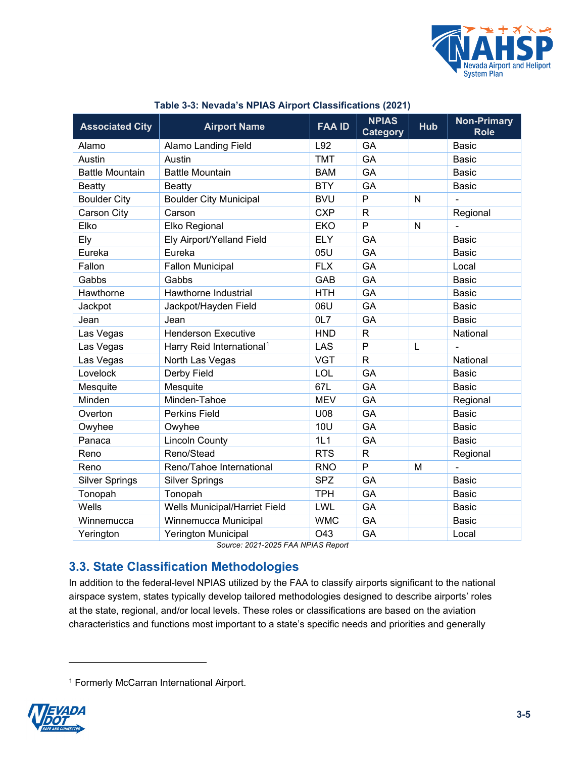

| <b>Associated City</b> | <b>Airport Name</b>                   | <b>FAA ID</b> | <b>NPIAS</b><br><b>Category</b> | <b>Hub</b> | <b>Non-Primary</b><br><b>Role</b> |
|------------------------|---------------------------------------|---------------|---------------------------------|------------|-----------------------------------|
| Alamo                  | <b>Alamo Landing Field</b>            | L92           | GA                              |            | Basic                             |
| Austin                 | Austin                                | <b>TMT</b>    | GA                              |            | <b>Basic</b>                      |
| <b>Battle Mountain</b> | <b>Battle Mountain</b>                | <b>BAM</b>    | GA                              |            | <b>Basic</b>                      |
| <b>Beatty</b>          | <b>Beatty</b>                         | <b>BTY</b>    | GA                              |            | <b>Basic</b>                      |
| <b>Boulder City</b>    | <b>Boulder City Municipal</b>         | <b>BVU</b>    | P                               | N          |                                   |
| Carson City            | Carson                                | <b>CXP</b>    | $\mathsf{R}$                    |            | Regional                          |
| Elko                   | Elko Regional                         | <b>EKO</b>    | P                               | N          |                                   |
| Ely                    | Ely Airport/Yelland Field             | <b>ELY</b>    | GA                              |            | <b>Basic</b>                      |
| Eureka                 | Eureka                                | 05U           | GA                              |            | <b>Basic</b>                      |
| Fallon                 | <b>Fallon Municipal</b>               | <b>FLX</b>    | GA                              |            | Local                             |
| Gabbs                  | Gabbs                                 | <b>GAB</b>    | GA                              |            | <b>Basic</b>                      |
| Hawthorne              | Hawthorne Industrial                  | <b>HTH</b>    | GA                              |            | <b>Basic</b>                      |
| Jackpot                | Jackpot/Hayden Field                  | 06U           | GA                              |            | <b>Basic</b>                      |
| Jean                   | Jean                                  | OL7           | GA                              |            | <b>Basic</b>                      |
| Las Vegas              | <b>Henderson Executive</b>            | <b>HND</b>    | $\mathsf{R}$                    |            | National                          |
| Las Vegas              | Harry Reid International <sup>1</sup> | <b>LAS</b>    | P                               | L          |                                   |
| Las Vegas              | North Las Vegas                       | <b>VGT</b>    | $\mathsf{R}$                    |            | National                          |
| Lovelock               | Derby Field                           | <b>LOL</b>    | GA                              |            | <b>Basic</b>                      |
| Mesquite               | Mesquite                              | 67L           | GA                              |            | <b>Basic</b>                      |
| Minden                 | Minden-Tahoe                          | <b>MEV</b>    | GA                              |            | Regional                          |
| Overton                | <b>Perkins Field</b>                  | U08           | GA                              |            | <b>Basic</b>                      |
| Owyhee                 | Owyhee                                | 10U           | GA                              |            | Basic                             |
| Panaca                 | <b>Lincoln County</b>                 | 1L1           | GA                              |            | <b>Basic</b>                      |
| Reno                   | Reno/Stead                            | <b>RTS</b>    | $\mathsf{R}$                    |            | Regional                          |
| Reno                   | Reno/Tahoe International              | <b>RNO</b>    | P                               | M          |                                   |
| <b>Silver Springs</b>  | <b>Silver Springs</b>                 | <b>SPZ</b>    | GA                              |            | <b>Basic</b>                      |
| Tonopah                | Tonopah                               | <b>TPH</b>    | GA                              |            | <b>Basic</b>                      |
| Wells                  | Wells Municipal/Harriet Field         | LWL           | GA                              |            | <b>Basic</b>                      |
| Winnemucca             | Winnemucca Municipal                  | <b>WMC</b>    | GA                              |            | <b>Basic</b>                      |
| Yerington              | <b>Yerington Municipal</b>            | O43           | GA                              |            | Local                             |

#### **Table 3-3: Nevada's NPIAS Airport Classifications (2021)**

*Source: 2021-2025 FAA NPIAS Report*

# **3.3. State Classification Methodologies**

In addition to the federal-level NPIAS utilized by the FAA to classify airports significant to the national airspace system, states typically develop tailored methodologies designed to describe airports' roles at the state, regional, and/or local levels. These roles or classifications are based on the aviation characteristics and functions most important to a state's specific needs and priorities and generally

<span id="page-4-0"></span><sup>1</sup> Formerly McCarran International Airport.

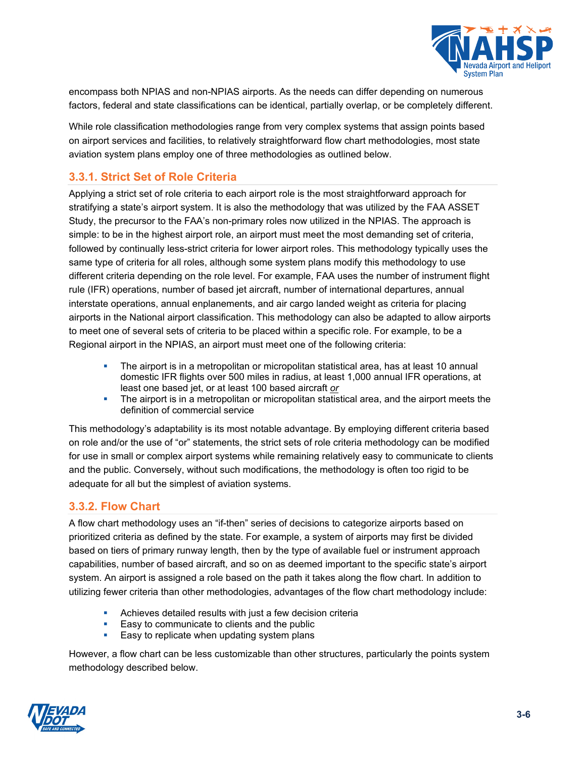

encompass both NPIAS and non-NPIAS airports. As the needs can differ depending on numerous factors, federal and state classifications can be identical, partially overlap, or be completely different.

While role classification methodologies range from very complex systems that assign points based on airport services and facilities, to relatively straightforward flow chart methodologies, most state aviation system plans employ one of three methodologies as outlined below.

### **3.3.1. Strict Set of Role Criteria**

Applying a strict set of role criteria to each airport role is the most straightforward approach for stratifying a state's airport system. It is also the methodology that was utilized by the FAA ASSET Study, the precursor to the FAA's non-primary roles now utilized in the NPIAS. The approach is simple: to be in the highest airport role, an airport must meet the most demanding set of criteria, followed by continually less-strict criteria for lower airport roles. This methodology typically uses the same type of criteria for all roles, although some system plans modify this methodology to use different criteria depending on the role level. For example, FAA uses the number of instrument flight rule (IFR) operations, number of based jet aircraft, number of international departures, annual interstate operations, annual enplanements, and air cargo landed weight as criteria for placing airports in the National airport classification. This methodology can also be adapted to allow airports to meet one of several sets of criteria to be placed within a specific role. For example, to be a Regional airport in the NPIAS, an airport must meet one of the following criteria:

- The airport is in a metropolitan or micropolitan statistical area, has at least 10 annual domestic IFR flights over 500 miles in radius, at least 1,000 annual IFR operations, at least one based jet, or at least 100 based aircraft *or*
- The airport is in a metropolitan or micropolitan statistical area, and the airport meets the definition of commercial service

This methodology's adaptability is its most notable advantage. By employing different criteria based on role and/or the use of "or" statements, the strict sets of role criteria methodology can be modified for use in small or complex airport systems while remaining relatively easy to communicate to clients and the public. Conversely, without such modifications, the methodology is often too rigid to be adequate for all but the simplest of aviation systems.

### **3.3.2. Flow Chart**

A flow chart methodology uses an "if-then" series of decisions to categorize airports based on prioritized criteria as defined by the state. For example, a system of airports may first be divided based on tiers of primary runway length, then by the type of available fuel or instrument approach capabilities, number of based aircraft, and so on as deemed important to the specific state's airport system. An airport is assigned a role based on the path it takes along the flow chart. In addition to utilizing fewer criteria than other methodologies, advantages of the flow chart methodology include:

- Achieves detailed results with just a few decision criteria
- **Easy to communicate to clients and the public**
- **Easy to replicate when updating system plans**

However, a flow chart can be less customizable than other structures, particularly the points system methodology described below.

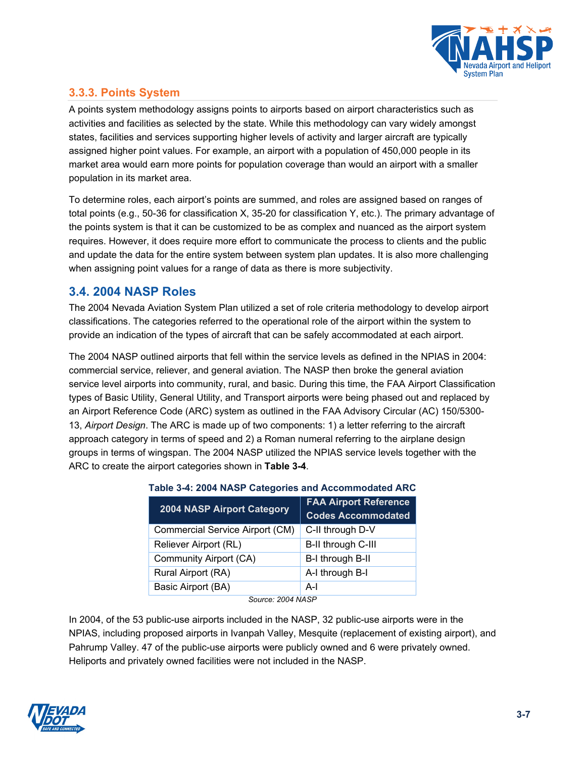

## **3.3.3. Points System**

A points system methodology assigns points to airports based on airport characteristics such as activities and facilities as selected by the state. While this methodology can vary widely amongst states, facilities and services supporting higher levels of activity and larger aircraft are typically assigned higher point values. For example, an airport with a population of 450,000 people in its market area would earn more points for population coverage than would an airport with a smaller population in its market area.

To determine roles, each airport's points are summed, and roles are assigned based on ranges of total points (e.g., 50-36 for classification X, 35-20 for classification Y, etc.). The primary advantage of the points system is that it can be customized to be as complex and nuanced as the airport system requires. However, it does require more effort to communicate the process to clients and the public and update the data for the entire system between system plan updates. It is also more challenging when assigning point values for a range of data as there is more subjectivity.

### **3.4. 2004 NASP Roles**

The 2004 Nevada Aviation System Plan utilized a set of role criteria methodology to develop airport classifications. The categories referred to the operational role of the airport within the system to provide an indication of the types of aircraft that can be safely accommodated at each airport.

The 2004 NASP outlined airports that fell within the service levels as defined in the NPIAS in 2004: commercial service, reliever, and general aviation. The NASP then broke the general aviation service level airports into community, rural, and basic. During this time, the FAA Airport Classification types of Basic Utility, General Utility, and Transport airports were being phased out and replaced by an Airport Reference Code (ARC) system as outlined in the FAA Advisory Circular (AC) 150/5300- 13, *Airport Design*. The ARC is made up of two components: 1) a letter referring to the aircraft approach category in terms of speed and 2) a Roman numeral referring to the airplane design groups in terms of wingspan. The 2004 NASP utilized the NPIAS service levels together with the ARC to create the airport categories shown in **[Table 3-4](#page-6-0)**.

| $\frac{1}{2}$ and $\frac{1}{2}$ is the state of the state of the state of the state of the state of $\frac{1}{2}$ |                              |  |  |
|-------------------------------------------------------------------------------------------------------------------|------------------------------|--|--|
| <b>2004 NASP Airport Category</b>                                                                                 | <b>FAA Airport Reference</b> |  |  |
|                                                                                                                   | <b>Codes Accommodated</b>    |  |  |
| Commercial Service Airport (CM)                                                                                   | C-II through D-V             |  |  |
| Reliever Airport (RL)                                                                                             | B-II through C-III           |  |  |
| Community Airport (CA)                                                                                            | B-I through B-II             |  |  |
| Rural Airport (RA)                                                                                                | A-I through B-I              |  |  |
| Basic Airport (BA)                                                                                                | A-l                          |  |  |
|                                                                                                                   |                              |  |  |

### <span id="page-6-0"></span>**Table 3-4: 2004 NASP Categories and Accommodated ARC**

*Source: 2004 NASP*

In 2004, of the 53 public-use airports included in the NASP, 32 public-use airports were in the NPIAS, including proposed airports in Ivanpah Valley, Mesquite (replacement of existing airport), and Pahrump Valley. 47 of the public-use airports were publicly owned and 6 were privately owned. Heliports and privately owned facilities were not included in the NASP.

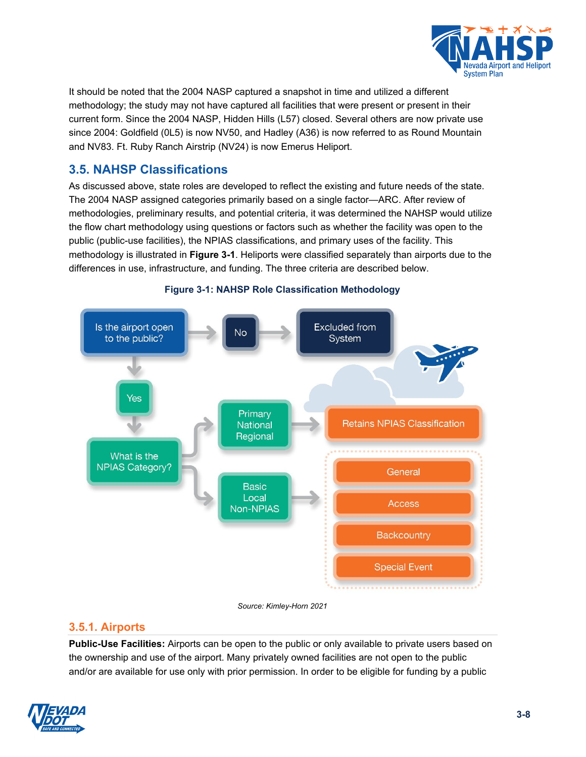

It should be noted that the 2004 NASP captured a snapshot in time and utilized a different methodology; the study may not have captured all facilities that were present or present in their current form. Since the 2004 NASP, Hidden Hills (L57) closed. Several others are now private use since 2004: Goldfield (0L5) is now NV50, and Hadley (A36) is now referred to as Round Mountain and NV83. Ft. Ruby Ranch Airstrip (NV24) is now Emerus Heliport.

# **3.5. NAHSP Classifications**

As discussed above, state roles are developed to reflect the existing and future needs of the state. The 2004 NASP assigned categories primarily based on a single factor—ARC. After review of methodologies, preliminary results, and potential criteria, it was determined the NAHSP would utilize the flow chart methodology using questions or factors such as whether the facility was open to the public (public-use facilities), the NPIAS classifications, and primary uses of the facility. This methodology is illustrated in **[Figure 3-1](#page-7-0)**. Heliports were classified separately than airports due to the differences in use, infrastructure, and funding. The three criteria are described below.

<span id="page-7-0"></span>

### **Figure 3-1: NAHSP Role Classification Methodology**

*Source: Kimley-Horn 2021*

### **3.5.1. Airports**

**Public-Use Facilities:** Airports can be open to the public or only available to private users based on the ownership and use of the airport. Many privately owned facilities are not open to the public and/or are available for use only with prior permission. In order to be eligible for funding by a public

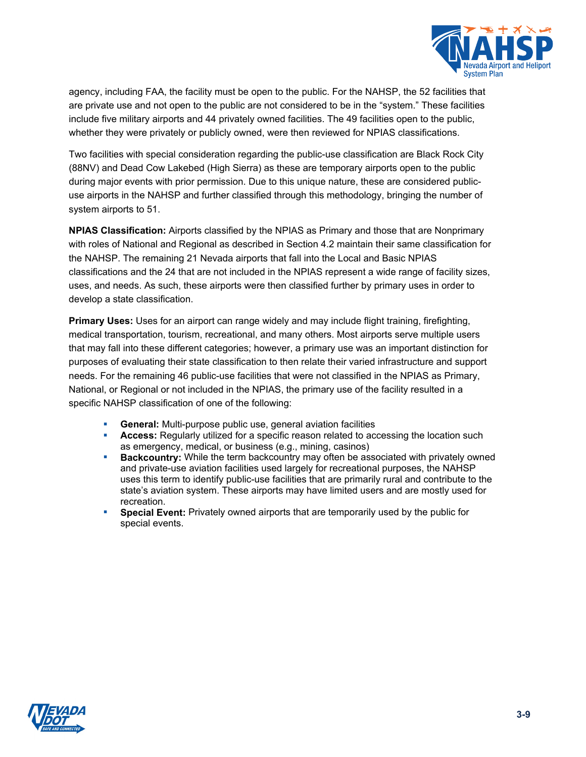

agency, including FAA, the facility must be open to the public. For the NAHSP, the 52 facilities that are private use and not open to the public are not considered to be in the "system." These facilities include five military airports and 44 privately owned facilities. The 49 facilities open to the public, whether they were privately or publicly owned, were then reviewed for NPIAS classifications.

Two facilities with special consideration regarding the public-use classification are Black Rock City (88NV) and Dead Cow Lakebed (High Sierra) as these are temporary airports open to the public during major events with prior permission. Due to this unique nature, these are considered publicuse airports in the NAHSP and further classified through this methodology, bringing the number of system airports to 51.

**NPIAS Classification:** Airports classified by the NPIAS as Primary and those that are Nonprimary with roles of National and Regional as described in Section [4.2](#page-1-1) maintain their same classification for the NAHSP. The remaining 21 Nevada airports that fall into the Local and Basic NPIAS classifications and the 24 that are not included in the NPIAS represent a wide range of facility sizes, uses, and needs. As such, these airports were then classified further by primary uses in order to develop a state classification.

**Primary Uses:** Uses for an airport can range widely and may include flight training, firefighting, medical transportation, tourism, recreational, and many others. Most airports serve multiple users that may fall into these different categories; however, a primary use was an important distinction for purposes of evaluating their state classification to then relate their varied infrastructure and support needs. For the remaining 46 public-use facilities that were not classified in the NPIAS as Primary, National, or Regional or not included in the NPIAS, the primary use of the facility resulted in a specific NAHSP classification of one of the following:

- **General:** Multi-purpose public use, general aviation facilities
- **Access:** Regularly utilized for a specific reason related to accessing the location such as emergency, medical, or business (e.g., mining, casinos)
- **Backcountry:** While the term backcountry may often be associated with privately owned and private-use aviation facilities used largely for recreational purposes, the NAHSP uses this term to identify public-use facilities that are primarily rural and contribute to the state's aviation system. These airports may have limited users and are mostly used for recreation.
- **Special Event:** Privately owned airports that are temporarily used by the public for special events.

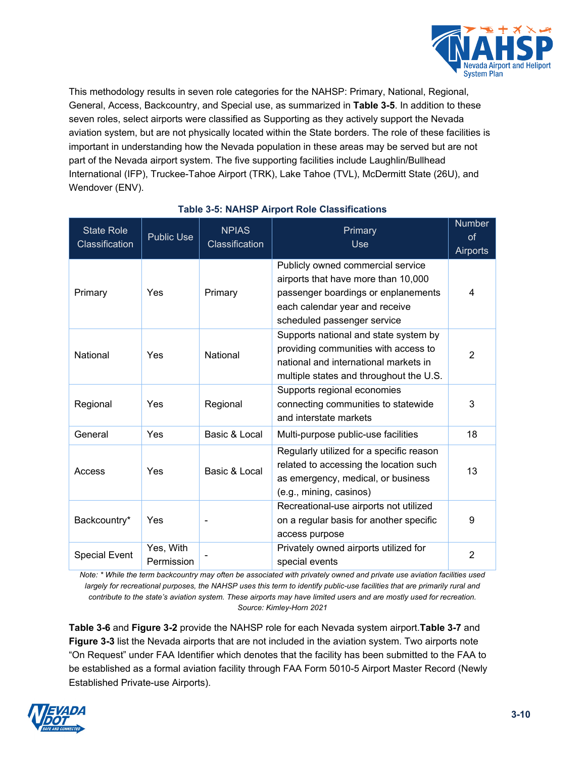

This methodology results in seven role categories for the NAHSP: Primary, National, Regional, General, Access, Backcountry, and Special use, as summarized in **[Table 3-5](#page-9-0)**. In addition to these seven roles, select airports were classified as Supporting as they actively support the Nevada aviation system, but are not physically located within the State borders. The role of these facilities is important in understanding how the Nevada population in these areas may be served but are not part of the Nevada airport system. The five supporting facilities include Laughlin/Bullhead International (IFP), Truckee-Tahoe Airport (TRK), Lake Tahoe (TVL), McDermitt State (26U), and Wendover (ENV).

<span id="page-9-0"></span>

| State Role<br>Classification | <b>Public Use</b>       | <b>NPIAS</b><br>Classification | Primary<br>U <sub>se</sub>                                                                                                                                                       | <b>Number</b><br><sub>of</sub><br>Airports |
|------------------------------|-------------------------|--------------------------------|----------------------------------------------------------------------------------------------------------------------------------------------------------------------------------|--------------------------------------------|
| Primary                      | Yes                     | Primary                        | Publicly owned commercial service<br>airports that have more than 10,000<br>passenger boardings or enplanements<br>each calendar year and receive<br>scheduled passenger service | 4                                          |
| National                     | Yes                     | National                       | Supports national and state system by<br>providing communities with access to<br>national and international markets in<br>multiple states and throughout the U.S.                | $\mathcal{P}$                              |
| Regional                     | Yes                     | Regional                       | Supports regional economies<br>connecting communities to statewide<br>and interstate markets                                                                                     | 3                                          |
| General                      | Yes                     | Basic & Local                  | Multi-purpose public-use facilities                                                                                                                                              | 18                                         |
| Access                       | Yes                     | Basic & Local                  | Regularly utilized for a specific reason<br>related to accessing the location such<br>as emergency, medical, or business<br>(e.g., mining, casinos)                              | 13                                         |
| Backcountry*                 | Yes                     |                                | Recreational-use airports not utilized<br>on a regular basis for another specific<br>access purpose                                                                              | 9                                          |
| <b>Special Event</b>         | Yes, With<br>Permission |                                | Privately owned airports utilized for<br>special events                                                                                                                          | 2                                          |

### **Table 3-5: NAHSP Airport Role Classifications**

*Note: \* While the term backcountry may often be associated with privately owned and private use aviation facilities used largely for recreational purposes, the NAHSP uses this term to identify public-use facilities that are primarily rural and contribute to the state's aviation system. These airports may have limited users and are mostly used for recreation. Source: Kimley-Horn 2021*

<span id="page-9-1"></span>**[Table](#page-9-1) 3-6** and **[Figure 3-2](#page-12-0)** provide the NAHSP role for each Nevada system airport.**[Table 3-7](#page-13-0)** and **[Figure 3-3](#page-15-0)** list the Nevada airports that are not included in the aviation system. Two airports note "On Request" under FAA Identifier which denotes that the facility has been submitted to the FAA to be established as a formal aviation facility through FAA Form 5010-5 Airport Master Record (Newly Established Private-use Airports).

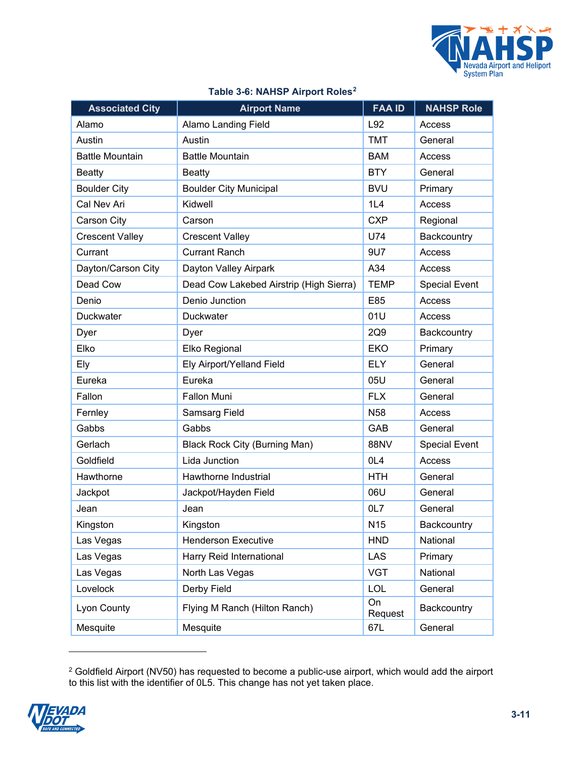

| <b>Associated City</b> | <b>Airport Name</b>                     | <b>FAA ID</b>   | <b>NAHSP Role</b>    |
|------------------------|-----------------------------------------|-----------------|----------------------|
| Alamo                  | <b>Alamo Landing Field</b>              | L92             | Access               |
| Austin                 | Austin                                  | <b>TMT</b>      | General              |
| <b>Battle Mountain</b> | <b>Battle Mountain</b>                  | <b>BAM</b>      | Access               |
| <b>Beatty</b>          | <b>Beatty</b>                           | <b>BTY</b>      | General              |
| <b>Boulder City</b>    | <b>Boulder City Municipal</b>           | <b>BVU</b>      | Primary              |
| Cal Nev Ari            | Kidwell                                 | 1L4             | Access               |
| Carson City            | Carson                                  | <b>CXP</b>      | Regional             |
| <b>Crescent Valley</b> | <b>Crescent Valley</b>                  | U74             | Backcountry          |
| Currant                | <b>Currant Ranch</b>                    | 9U7             | Access               |
| Dayton/Carson City     | Dayton Valley Airpark                   | A34             | Access               |
| Dead Cow               | Dead Cow Lakebed Airstrip (High Sierra) | <b>TEMP</b>     | <b>Special Event</b> |
| Denio                  | Denio Junction                          | E85             | Access               |
| Duckwater              | <b>Duckwater</b>                        | 01U             | Access               |
| Dyer                   | Dyer                                    | 2Q9             | Backcountry          |
| Elko                   | Elko Regional                           | <b>EKO</b>      | Primary              |
| Ely                    | Ely Airport/Yelland Field               | <b>ELY</b>      | General              |
| Eureka                 | Eureka                                  | 05U             | General              |
| Fallon                 | <b>Fallon Muni</b>                      | <b>FLX</b>      | General              |
| Fernley                | Samsarg Field                           | <b>N58</b>      | Access               |
| Gabbs                  | Gabbs                                   | GAB             | General              |
| Gerlach                | <b>Black Rock City (Burning Man)</b>    | 88NV            | <b>Special Event</b> |
| Goldfield              | Lida Junction                           | OL <sub>4</sub> | Access               |
| Hawthorne              | Hawthorne Industrial                    | <b>HTH</b>      | General              |
| Jackpot                | Jackpot/Hayden Field                    | 06U             | General              |
| Jean                   | Jean                                    | OL7             | General              |
| Kingston               | Kingston                                | N <sub>15</sub> | Backcountry          |
| Las Vegas              | <b>Henderson Executive</b>              | <b>HND</b>      | National             |
| Las Vegas              | Harry Reid International                | <b>LAS</b>      | Primary              |
| Las Vegas              | North Las Vegas                         | <b>VGT</b>      | National             |
| Lovelock               | Derby Field                             | <b>LOL</b>      | General              |
| Lyon County            | Flying M Ranch (Hilton Ranch)           | On<br>Request   | Backcountry          |
| Mesquite               | Mesquite                                | 67L             | General              |

#### **Table 3-6: NAHSP Airport Roles[2](#page-10-0)**

<span id="page-10-0"></span> $^{\rm 2}$  Goldfield Airport (NV50) has requested to become a public-use airport, which would add the airport to this list with the identifier of 0L5. This change has not yet taken place.

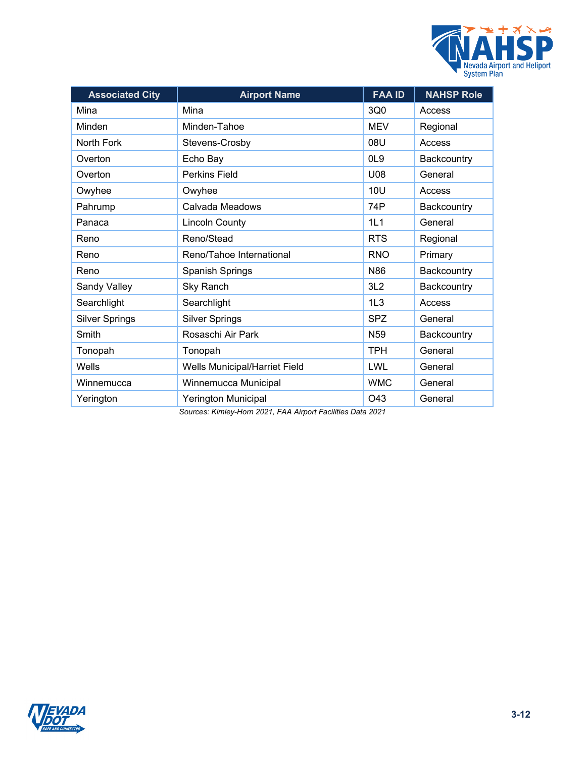

| <b>Associated City</b> | <b>Airport Name</b>           | <b>FAA ID</b>   | <b>NAHSP Role</b> |
|------------------------|-------------------------------|-----------------|-------------------|
| Mina                   | Mina                          | 3Q0             | Access            |
| Minden                 | Minden-Tahoe                  | <b>MEV</b>      | Regional          |
| North Fork             | Stevens-Crosby                | 08U             | Access            |
| Overton                | Echo Bay                      | OL <sub>9</sub> | Backcountry       |
| Overton                | <b>Perkins Field</b>          | U08             | General           |
| Owyhee                 | Owyhee                        | 10U             | Access            |
| Pahrump                | Calvada Meadows               | 74P             | Backcountry       |
| Panaca                 | <b>Lincoln County</b>         | 1L1             | General           |
| Reno                   | Reno/Stead                    | <b>RTS</b>      | Regional          |
| Reno                   | Reno/Tahoe International      | <b>RNO</b>      | Primary           |
| Reno                   | Spanish Springs               | N86             | Backcountry       |
| Sandy Valley           | <b>Sky Ranch</b>              | 3L2             | Backcountry       |
| Searchlight            | Searchlight                   | 1L3             | Access            |
| <b>Silver Springs</b>  | <b>Silver Springs</b>         | <b>SPZ</b>      | General           |
| Smith                  | Rosaschi Air Park             | N <sub>59</sub> | Backcountry       |
| Tonopah                | Tonopah                       | <b>TPH</b>      | General           |
| Wells                  | Wells Municipal/Harriet Field | LWL             | General           |
| Winnemucca             | Winnemucca Municipal          | <b>WMC</b>      | General           |
| Yerington              | Yerington Municipal           | O43             | General           |

*Sources: Kimley-Horn 2021, FAA Airport Facilities Data 2021*

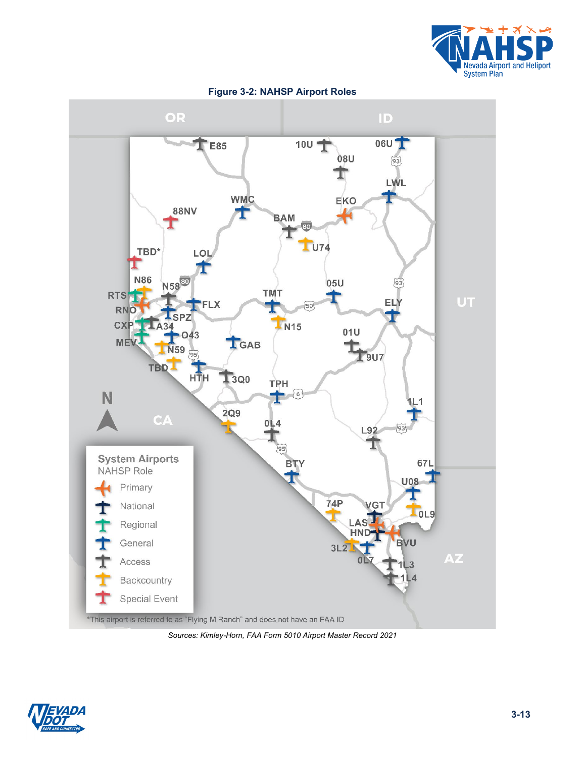

<span id="page-12-0"></span>

**Figure 3-2: NAHSP Airport Roles**

*Sources: Kimley-Horn, FAA Form 5010 Airport Master Record 2021*

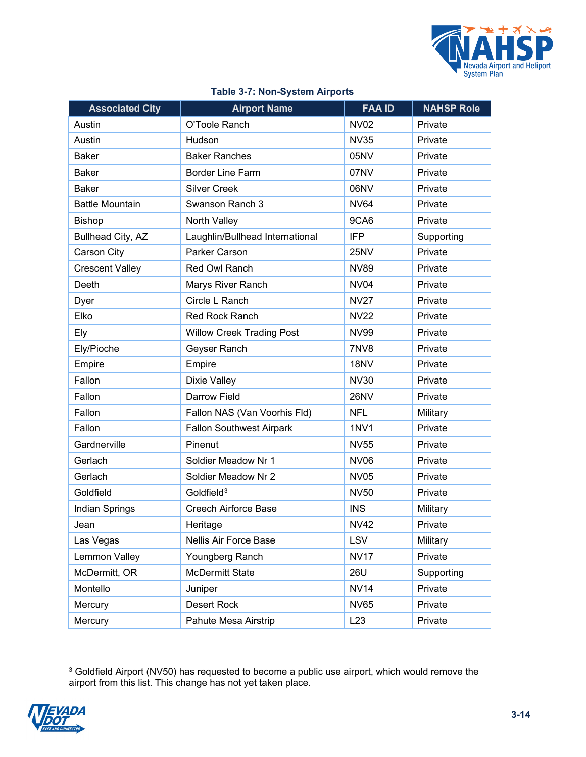

<span id="page-13-0"></span>

| <b>Associated City</b> | <b>Airport Name</b>              | <b>FAA ID</b> | <b>NAHSP Role</b> |
|------------------------|----------------------------------|---------------|-------------------|
| Austin                 | O'Toole Ranch                    | <b>NV02</b>   | Private           |
| Austin                 | Hudson                           | <b>NV35</b>   | Private           |
| <b>Baker</b>           | <b>Baker Ranches</b>             | 05NV          | Private           |
| <b>Baker</b>           | <b>Border Line Farm</b>          | 07NV          | Private           |
| <b>Baker</b>           | <b>Silver Creek</b>              | 06NV          | Private           |
| <b>Battle Mountain</b> | Swanson Ranch 3                  | <b>NV64</b>   | Private           |
| <b>Bishop</b>          | North Valley                     | 9CA6          | Private           |
| Bullhead City, AZ      | Laughlin/Bullhead International  | <b>IFP</b>    | Supporting        |
| Carson City            | Parker Carson                    | 25NV          | Private           |
| <b>Crescent Valley</b> | Red Owl Ranch                    | <b>NV89</b>   | Private           |
| Deeth                  | Marys River Ranch                | <b>NV04</b>   | Private           |
| Dyer                   | Circle L Ranch                   | <b>NV27</b>   | Private           |
| Elko                   | Red Rock Ranch                   | <b>NV22</b>   | Private           |
| Ely                    | <b>Willow Creek Trading Post</b> | <b>NV99</b>   | Private           |
| Ely/Pioche             | Geyser Ranch                     | 7NV8          | Private           |
| Empire                 | Empire                           | 18NV          | Private           |
| Fallon                 | Dixie Valley                     | <b>NV30</b>   | Private           |
| Fallon                 | Darrow Field                     | <b>26NV</b>   | Private           |
| Fallon                 | Fallon NAS (Van Voorhis Fld)     | <b>NFL</b>    | Military          |
| Fallon                 | <b>Fallon Southwest Airpark</b>  | <b>1NV1</b>   | Private           |
| Gardnerville           | Pinenut                          | <b>NV55</b>   | Private           |
| Gerlach                | Soldier Meadow Nr 1              | <b>NV06</b>   | Private           |
| Gerlach                | Soldier Meadow Nr 2              | <b>NV05</b>   | Private           |
| Goldfield              | Goldfield <sup>3</sup>           | <b>NV50</b>   | Private           |
| Indian Springs         | <b>Creech Airforce Base</b>      | <b>INS</b>    | Military          |
| Jean                   | Heritage                         | <b>NV42</b>   | Private           |
| Las Vegas              | Nellis Air Force Base            | LSV           | Military          |
| Lemmon Valley          | Youngberg Ranch                  | <b>NV17</b>   | Private           |
| McDermitt, OR          | <b>McDermitt State</b>           | 26U           | Supporting        |
| Montello               | Juniper                          | <b>NV14</b>   | Private           |
| Mercury                | <b>Desert Rock</b>               | <b>NV65</b>   | Private           |
| Mercury                | Pahute Mesa Airstrip             | L23           | Private           |

### **Table 3-7: Non-System Airports**

<span id="page-13-1"></span> $^3$  Goldfield Airport (NV50) has requested to become a public use airport, which would remove the airport from this list. This change has not yet taken place.

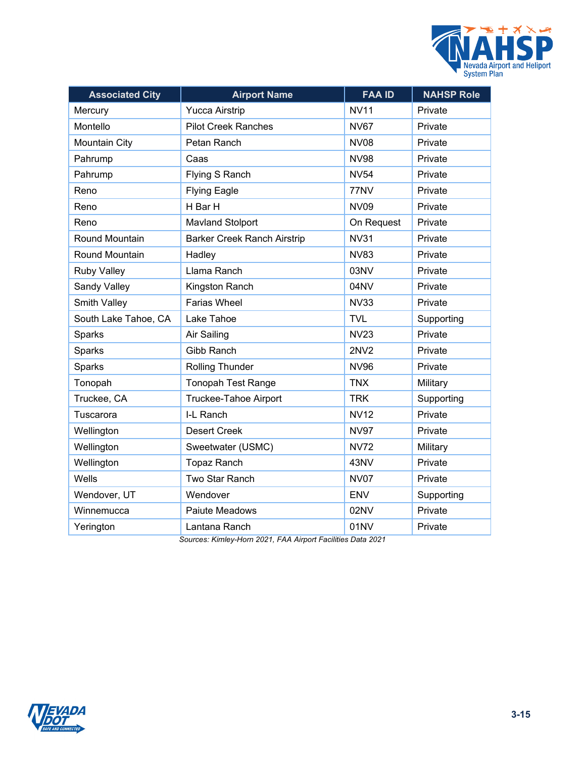

| <b>Associated City</b> | <b>Airport Name</b>                | <b>FAA ID</b> | <b>NAHSP Role</b> |
|------------------------|------------------------------------|---------------|-------------------|
| Mercury                | <b>Yucca Airstrip</b>              | <b>NV11</b>   | Private           |
| Montello               | <b>Pilot Creek Ranches</b>         | <b>NV67</b>   | Private           |
| <b>Mountain City</b>   | Petan Ranch                        | <b>NV08</b>   | Private           |
| Pahrump                | Caas                               | <b>NV98</b>   | Private           |
| Pahrump                | Flying S Ranch                     | <b>NV54</b>   | Private           |
| Reno                   | <b>Flying Eagle</b>                | 77NV          | Private           |
| Reno                   | H Bar H                            | <b>NV09</b>   | Private           |
| Reno                   | <b>Mavland Stolport</b>            | On Request    | Private           |
| Round Mountain         | <b>Barker Creek Ranch Airstrip</b> | <b>NV31</b>   | Private           |
| Round Mountain         | Hadley                             | <b>NV83</b>   | Private           |
| <b>Ruby Valley</b>     | Llama Ranch                        | 03NV          | Private           |
| Sandy Valley           | Kingston Ranch                     | 04NV          | Private           |
| Smith Valley           | <b>Farias Wheel</b>                | <b>NV33</b>   | Private           |
| South Lake Tahoe, CA   | Lake Tahoe                         | <b>TVL</b>    | Supporting        |
| Sparks                 | Air Sailing                        | <b>NV23</b>   | Private           |
| Sparks                 | <b>Gibb Ranch</b>                  | <b>2NV2</b>   | Private           |
| Sparks                 | Rolling Thunder                    | <b>NV96</b>   | Private           |
| Tonopah                | <b>Tonopah Test Range</b>          | <b>TNX</b>    | Military          |
| Truckee, CA            | Truckee-Tahoe Airport              | <b>TRK</b>    | Supporting        |
| Tuscarora              | I-L Ranch                          | <b>NV12</b>   | Private           |
| Wellington             | <b>Desert Creek</b>                | <b>NV97</b>   | Private           |
| Wellington             | Sweetwater (USMC)                  | <b>NV72</b>   | Military          |
| Wellington             | <b>Topaz Ranch</b>                 | 43NV          | Private           |
| Wells                  | Two Star Ranch                     | <b>NV07</b>   | Private           |
| Wendover, UT           | Wendover                           | <b>ENV</b>    | Supporting        |
| Winnemucca             | Paiute Meadows                     | 02NV          | Private           |
| Yerington              | Lantana Ranch                      | 01NV          | Private           |

*Sources: Kimley-Horn 2021, FAA Airport Facilities Data 2021*

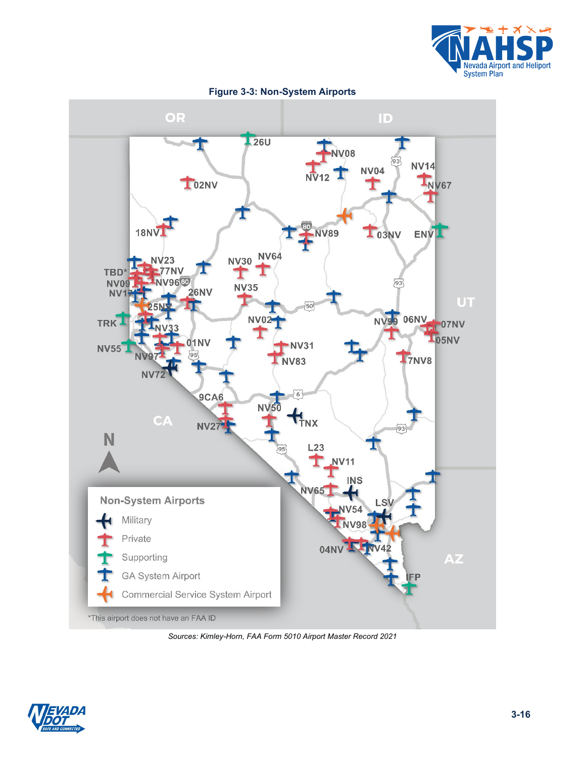

<span id="page-15-0"></span>

**Figure 3-3: Non-System Airports**

*Sources: Kimley-Horn, FAA Form 5010 Airport Master Record 2021*

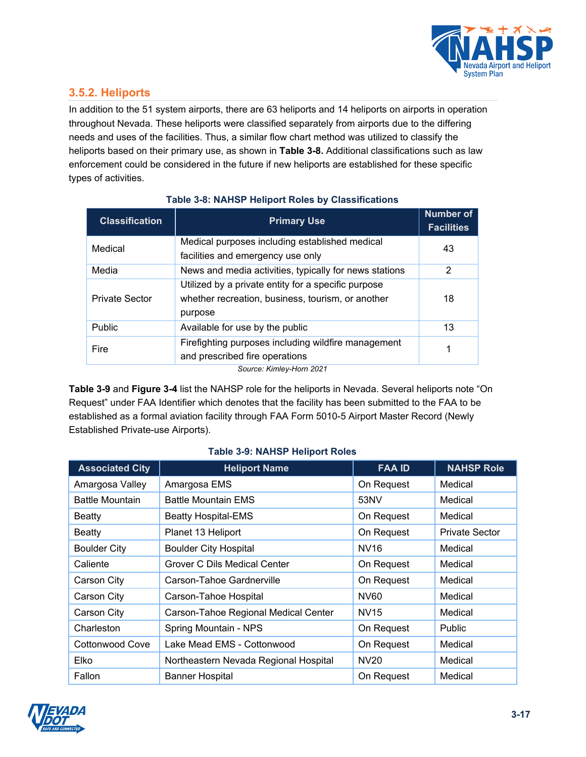

### **3.5.2. Heliports**

In addition to the 51 system airports, there are 63 heliports and 14 heliports on airports in operation throughout Nevada. These heliports were classified separately from airports due to the differing needs and uses of the facilities. Thus, a similar flow chart method was utilized to classify the heliports based on their primary use, as shown in **[Table 3-8.](#page-16-0)** Additional classifications such as law enforcement could be considered in the future if new heliports are established for these specific types of activities.

<span id="page-16-0"></span>

| <b>Classification</b>    | <b>Primary Use</b>                                                                                                  | <b>Number of</b><br><b>Facilities</b> |  |
|--------------------------|---------------------------------------------------------------------------------------------------------------------|---------------------------------------|--|
| Medical                  | Medical purposes including established medical                                                                      | 43                                    |  |
|                          | facilities and emergency use only                                                                                   |                                       |  |
| Media                    | News and media activities, typically for news stations                                                              | 2                                     |  |
| <b>Private Sector</b>    | Utilized by a private entity for a specific purpose<br>whether recreation, business, tourism, or another<br>purpose | 18                                    |  |
| Public                   | Available for use by the public                                                                                     | 13                                    |  |
| Fire                     | Firefighting purposes including wildfire management<br>and prescribed fire operations                               | 1                                     |  |
| Source: Kimley-Horn 2021 |                                                                                                                     |                                       |  |

#### **Table 3-8: NAHSP Heliport Roles by Classifications**

**[Table 3-9](#page-16-1)** and **[Figure 3-4](#page-20-0)** list the NAHSP role for the heliports in Nevada. Several heliports note "On Request" under FAA Identifier which denotes that the facility has been submitted to the FAA to be established as a formal aviation facility through FAA Form 5010-5 Airport Master Record (Newly Established Private-use Airports).

<span id="page-16-1"></span>

| <b>Associated City</b> | <b>Heliport Name</b>                  | <b>FAA ID</b>    | <b>NAHSP Role</b>     |
|------------------------|---------------------------------------|------------------|-----------------------|
| Amargosa Valley        | Amargosa EMS                          | On Request       | Medical               |
| <b>Battle Mountain</b> | <b>Battle Mountain EMS</b>            | 53NV             | Medical               |
| Beatty                 | <b>Beatty Hospital-EMS</b>            | On Request       | Medical               |
| Beatty                 | Planet 13 Heliport                    | On Request       | <b>Private Sector</b> |
| <b>Boulder City</b>    | <b>Boulder City Hospital</b>          | NV <sub>16</sub> | Medical               |
| Caliente               | Grover C Dils Medical Center          | On Request       | Medical               |
| Carson City            | Carson-Tahoe Gardnerville             | On Request       | Medical               |
| Carson City            | Carson-Tahoe Hospital                 | NV60             | Medical               |
| Carson City            | Carson-Tahoe Regional Medical Center  | <b>NV15</b>      | Medical               |
| Charleston             | Spring Mountain - NPS                 | On Request       | <b>Public</b>         |
| Cottonwood Cove        | Lake Mead EMS - Cottonwood            | On Request       | Medical               |
| Elko                   | Northeastern Nevada Regional Hospital | NV20             | Medical               |
| Fallon                 | <b>Banner Hospital</b>                | On Request       | Medical               |

#### **Table 3-9: NAHSP Heliport Roles**

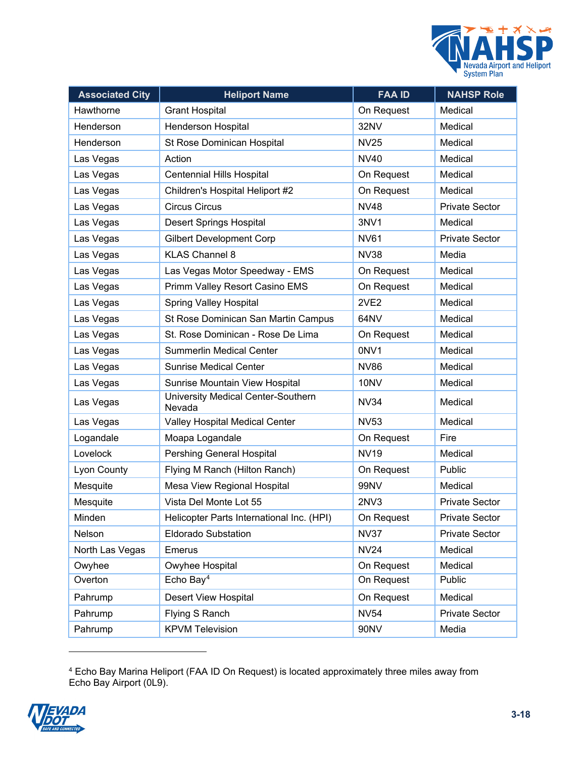

| <b>Associated City</b> | <b>Heliport Name</b>                         | <b>FAA ID</b>     | <b>NAHSP Role</b>     |
|------------------------|----------------------------------------------|-------------------|-----------------------|
| Hawthorne              | <b>Grant Hospital</b>                        | On Request        | Medical               |
| Henderson              | <b>Henderson Hospital</b>                    | 32NV              | Medical               |
| Henderson              | St Rose Dominican Hospital                   | <b>NV25</b>       | Medical               |
| Las Vegas              | Action                                       | <b>NV40</b>       | Medical               |
| Las Vegas              | <b>Centennial Hills Hospital</b>             | On Request        | Medical               |
| Las Vegas              | Children's Hospital Heliport #2              | On Request        | Medical               |
| Las Vegas              | <b>Circus Circus</b>                         | <b>NV48</b>       | <b>Private Sector</b> |
| Las Vegas              | <b>Desert Springs Hospital</b>               | 3NV1              | Medical               |
| Las Vegas              | <b>Gilbert Development Corp</b>              | <b>NV61</b>       | <b>Private Sector</b> |
| Las Vegas              | <b>KLAS Channel 8</b>                        | <b>NV38</b>       | Media                 |
| Las Vegas              | Las Vegas Motor Speedway - EMS               | On Request        | Medical               |
| Las Vegas              | Primm Valley Resort Casino EMS               | On Request        | Medical               |
| Las Vegas              | <b>Spring Valley Hospital</b>                | 2VE <sub>2</sub>  | Medical               |
| Las Vegas              | St Rose Dominican San Martin Campus          | 64NV              | Medical               |
| Las Vegas              | St. Rose Dominican - Rose De Lima            | On Request        | Medical               |
| Las Vegas              | <b>Summerlin Medical Center</b>              | 0NV1              | Medical               |
| Las Vegas              | <b>Sunrise Medical Center</b>                | NV86              | Medical               |
| Las Vegas              | Sunrise Mountain View Hospital               | 10NV              | Medical               |
| Las Vegas              | University Medical Center-Southern<br>Nevada | <b>NV34</b>       | Medical               |
| Las Vegas              | Valley Hospital Medical Center               | <b>NV53</b>       | Medical               |
| Logandale              | Moapa Logandale                              | On Request        | Fire                  |
| Lovelock               | Pershing General Hospital                    | <b>NV19</b>       | Medical               |
| Lyon County            | Flying M Ranch (Hilton Ranch)                | On Request        | Public                |
| Mesquite               | Mesa View Regional Hospital                  | 99NV              | Medical               |
| Mesquite               | Vista Del Monte Lot 55                       | 2N <sub>V</sub> 3 | <b>Private Sector</b> |
| Minden                 | Helicopter Parts International Inc. (HPI)    | On Request        | Private Sector        |
| Nelson                 | <b>Eldorado Substation</b>                   | <b>NV37</b>       | Private Sector        |
| North Las Vegas        | Emerus                                       | <b>NV24</b>       | Medical               |
| Owyhee                 | Owyhee Hospital                              | On Request        | Medical               |
| Overton                | Echo Bay <sup>4</sup>                        | On Request        | Public                |
| Pahrump                | Desert View Hospital                         | On Request        | Medical               |
| Pahrump                | Flying S Ranch                               | <b>NV54</b>       | <b>Private Sector</b> |
| Pahrump                | <b>KPVM Television</b>                       | 90NV              | Media                 |

 $^4$  Echo Bay Marina Heliport (FAA ID On Request) is located approximately three miles away from Echo Bay Airport (0L9).

<span id="page-17-0"></span>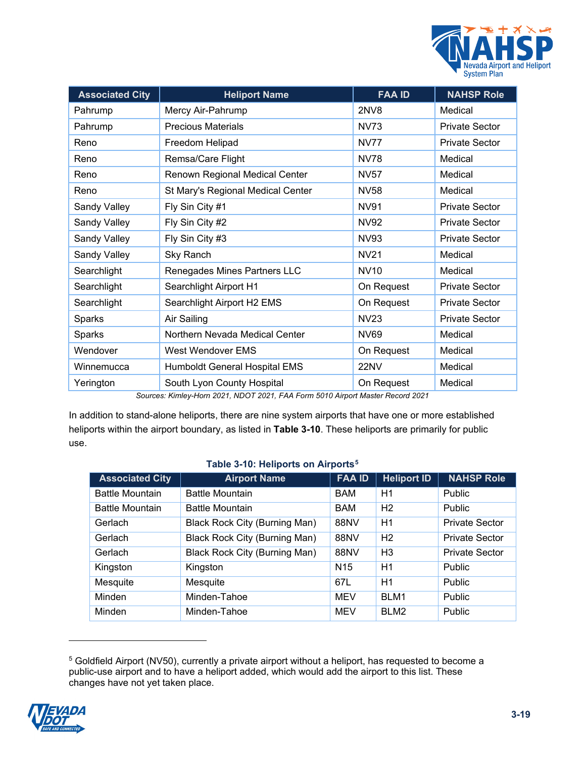

| <b>Associated City</b> | <b>Heliport Name</b>                 | <b>FAA ID</b>    | <b>NAHSP Role</b>     |
|------------------------|--------------------------------------|------------------|-----------------------|
| Pahrump                | Mercy Air-Pahrump                    | <b>2NV8</b>      | Medical               |
| Pahrump                | <b>Precious Materials</b>            | <b>NV73</b>      | <b>Private Sector</b> |
| Reno                   | Freedom Helipad                      | <b>NV77</b>      | <b>Private Sector</b> |
| Reno                   | Remsa/Care Flight                    | <b>NV78</b>      | Medical               |
| Reno                   | Renown Regional Medical Center       | <b>NV57</b>      | Medical               |
| Reno                   | St Mary's Regional Medical Center    | <b>NV58</b>      | Medical               |
| Sandy Valley           | Fly Sin City #1                      | <b>NV91</b>      | <b>Private Sector</b> |
| Sandy Valley           | Fly Sin City #2                      | NV92             | <b>Private Sector</b> |
| Sandy Valley           | Fly Sin City #3                      | <b>NV93</b>      | <b>Private Sector</b> |
| Sandy Valley           | <b>Sky Ranch</b>                     | <b>NV21</b>      | Medical               |
| Searchlight            | Renegades Mines Partners LLC         | <b>NV10</b>      | Medical               |
| Searchlight            | Searchlight Airport H1               | On Request       | <b>Private Sector</b> |
| Searchlight            | Searchlight Airport H2 EMS           | On Request       | <b>Private Sector</b> |
| Sparks                 | Air Sailing                          | NV <sub>23</sub> | <b>Private Sector</b> |
| Sparks                 | Northern Nevada Medical Center       | NV69             | Medical               |
| Wendover               | West Wendover EMS                    | On Request       | Medical               |
| Winnemucca             | <b>Humboldt General Hospital EMS</b> | 22NV             | Medical               |
| Yerington              | South Lyon County Hospital           | On Request       | Medical               |

*Sources: Kimley-Horn 2021, NDOT 2021, FAA Form 5010 Airport Master Record 2021*

In addition to stand-alone heliports, there are nine system airports that have one or more established heliports within the airport boundary, as listed in **[Table 3-10](#page-18-0)**. These heliports are primarily for public use.

#### **Table 3-10: Heliports on Airports[5](#page-18-1)**

<span id="page-18-0"></span>

| <b>Associated City</b> | <b>Airport Name</b>                  | <b>FAA ID</b>   | <b>Heliport ID</b> | <b>NAHSP Role</b>     |
|------------------------|--------------------------------------|-----------------|--------------------|-----------------------|
| <b>Battle Mountain</b> | <b>Battle Mountain</b>               | <b>BAM</b>      | H1                 | <b>Public</b>         |
| <b>Battle Mountain</b> | <b>Battle Mountain</b>               | <b>BAM</b>      | H <sub>2</sub>     | Public                |
| Gerlach                | Black Rock City (Burning Man)        | 88NV            | H1                 | <b>Private Sector</b> |
| Gerlach                | <b>Black Rock City (Burning Man)</b> | <b>88NV</b>     | H <sub>2</sub>     | <b>Private Sector</b> |
| Gerlach                | <b>Black Rock City (Burning Man)</b> | 88NV            | H <sub>3</sub>     | <b>Private Sector</b> |
| Kingston               | Kingston                             | N <sub>15</sub> | H1                 | Public                |
| Mesquite               | Mesquite                             | 67L             | H1                 | <b>Public</b>         |
| Minden                 | Minden-Tahoe                         | <b>MEV</b>      | BLM1               | <b>Public</b>         |
| Minden                 | Minden-Tahoe                         | <b>MEV</b>      | BLM <sub>2</sub>   | Public                |

<sup>5</sup> Goldfield Airport (NV50), currently a private airport without a heliport, has requested to become a public-use airport and to have a heliport added, which would add the airport to this list. These changes have not yet taken place.

<span id="page-18-1"></span>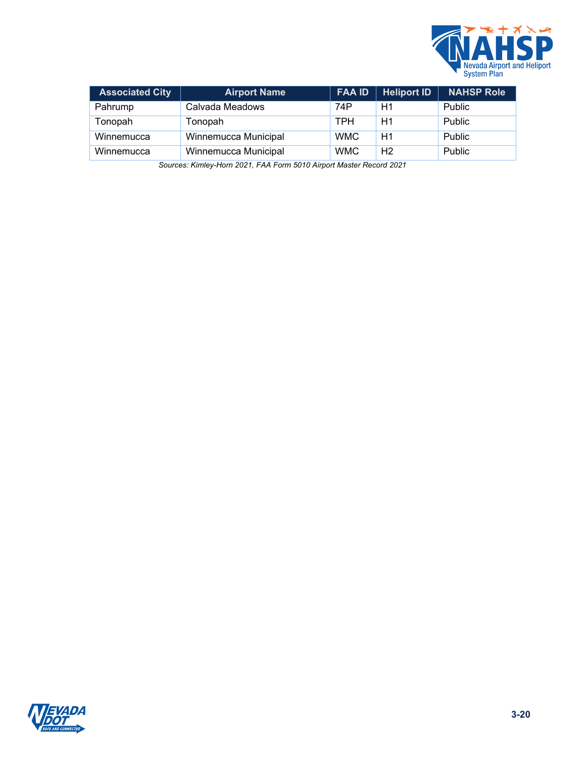

| <b>Associated City</b> | <b>Airport Name</b>  | <b>FAA ID</b> | Heliport ID    | <b>NAHSP Role</b> |
|------------------------|----------------------|---------------|----------------|-------------------|
| Pahrump                | Calvada Meadows      | 74P           | H1             | Public            |
| Tonopah                | Tonopah              | <b>TPH</b>    | H1             | Public            |
| Winnemucca             | Winnemucca Municipal | <b>WMC</b>    | H1             | Public            |
| Winnemucca             | Winnemucca Municipal | <b>WMC</b>    | H <sub>2</sub> | Public            |

*Sources: Kimley-Horn 2021, FAA Form 5010 Airport Master Record 2021*